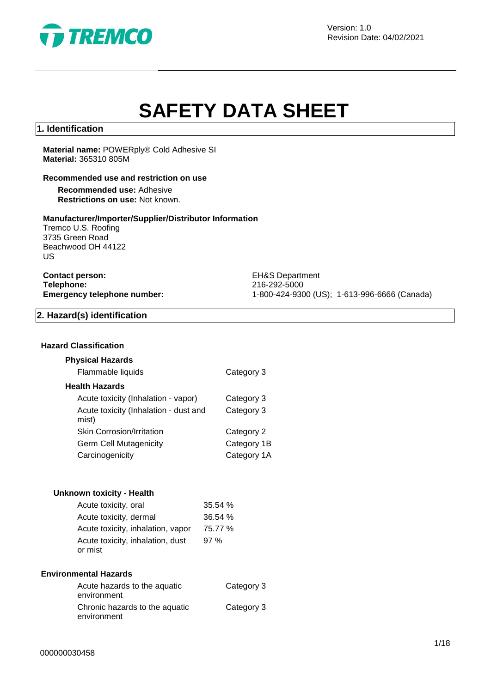

Version: 1.0 Revision Date: 04/02/2021

# **SAFETY DATA SHEET**

### **1. Identification**

### **Material name:** POWERply® Cold Adhesive SI **Material:** 365310 805M

#### **Recommended use and restriction on use**

**Recommended use:** Adhesive **Restrictions on use:** Not known.

#### **Manufacturer/Importer/Supplier/Distributor Information**

Tremco U.S. Roofing 3735 Green Road Beachwood OH 44122 US

| <b>Contact person:</b>            |  |
|-----------------------------------|--|
| Telephone:                        |  |
| <b>Emergency telephone number</b> |  |

**EH&S Department Telephone:** 216-292-5000 **Emergency telephone number:** 1-800-424-9300 (US); 1-613-996-6666 (Canada)

### **2. Hazard(s) identification**

### **Hazard Classification**

| <b>Physical Hazards</b>                        |             |
|------------------------------------------------|-------------|
| Flammable liquids                              | Category 3  |
| <b>Health Hazards</b>                          |             |
| Acute toxicity (Inhalation - vapor)            | Category 3  |
| Acute toxicity (Inhalation - dust and<br>mist) | Category 3  |
| <b>Skin Corrosion/Irritation</b>               | Category 2  |
| <b>Germ Cell Mutagenicity</b>                  | Category 1B |
| Carcinogenicity                                | Category 1A |

| Unknown toxicity - Health                   |         |
|---------------------------------------------|---------|
| Acute toxicity, oral                        | 35.54 % |
| Acute toxicity, dermal                      | 36.54 % |
| Acute toxicity, inhalation, vapor           | 75.77 % |
| Acute toxicity, inhalation, dust<br>or mist | 97%     |

### **Environmental Hazards**

| Acute hazards to the aquatic   | Category 3 |
|--------------------------------|------------|
| environment                    |            |
| Chronic hazards to the aquatic | Category 3 |
| environment                    |            |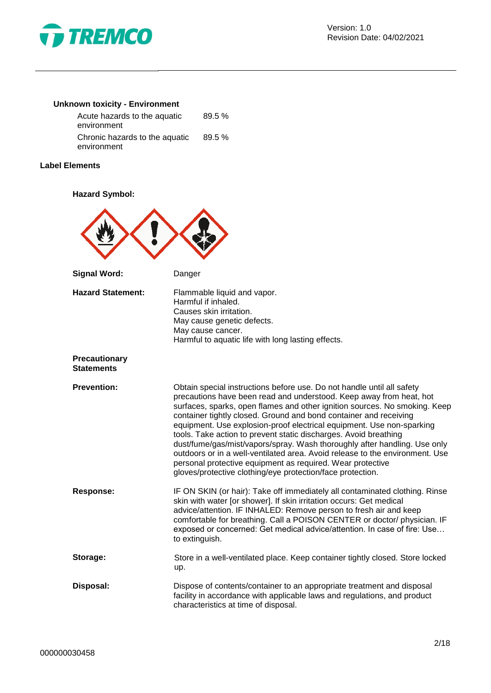

### **Unknown toxicity - Environment**

| Acute hazards to the aquatic                  | 89.5%  |  |
|-----------------------------------------------|--------|--|
| environment                                   |        |  |
| Chronic hazards to the aquatic<br>environment | 89.5 % |  |

### **Label Elements**

### **Hazard Symbol:**



| <b>Hazard Statement:</b>                  | Flammable liquid and vapor.<br>Harmful if inhaled.<br>Causes skin irritation.<br>May cause genetic defects.<br>May cause cancer.<br>Harmful to aquatic life with long lasting effects.                                                                                                                                                                                                                                                                                                                                                                                                                                                                                                                                                 |
|-------------------------------------------|----------------------------------------------------------------------------------------------------------------------------------------------------------------------------------------------------------------------------------------------------------------------------------------------------------------------------------------------------------------------------------------------------------------------------------------------------------------------------------------------------------------------------------------------------------------------------------------------------------------------------------------------------------------------------------------------------------------------------------------|
| <b>Precautionary</b><br><b>Statements</b> |                                                                                                                                                                                                                                                                                                                                                                                                                                                                                                                                                                                                                                                                                                                                        |
| <b>Prevention:</b>                        | Obtain special instructions before use. Do not handle until all safety<br>precautions have been read and understood. Keep away from heat, hot<br>surfaces, sparks, open flames and other ignition sources. No smoking. Keep<br>container tightly closed. Ground and bond container and receiving<br>equipment. Use explosion-proof electrical equipment. Use non-sparking<br>tools. Take action to prevent static discharges. Avoid breathing<br>dust/fume/gas/mist/vapors/spray. Wash thoroughly after handling. Use only<br>outdoors or in a well-ventilated area. Avoid release to the environment. Use<br>personal protective equipment as required. Wear protective<br>gloves/protective clothing/eye protection/face protection. |
| <b>Response:</b>                          | IF ON SKIN (or hair): Take off immediately all contaminated clothing. Rinse<br>skin with water [or shower]. If skin irritation occurs: Get medical<br>advice/attention. IF INHALED: Remove person to fresh air and keep<br>comfortable for breathing. Call a POISON CENTER or doctor/ physician. IF<br>exposed or concerned: Get medical advice/attention. In case of fire: Use<br>to extinguish.                                                                                                                                                                                                                                                                                                                                      |
| Storage:                                  | Store in a well-ventilated place. Keep container tightly closed. Store locked<br>up.                                                                                                                                                                                                                                                                                                                                                                                                                                                                                                                                                                                                                                                   |
| Disposal:                                 | Dispose of contents/container to an appropriate treatment and disposal<br>facility in accordance with applicable laws and regulations, and product<br>characteristics at time of disposal.                                                                                                                                                                                                                                                                                                                                                                                                                                                                                                                                             |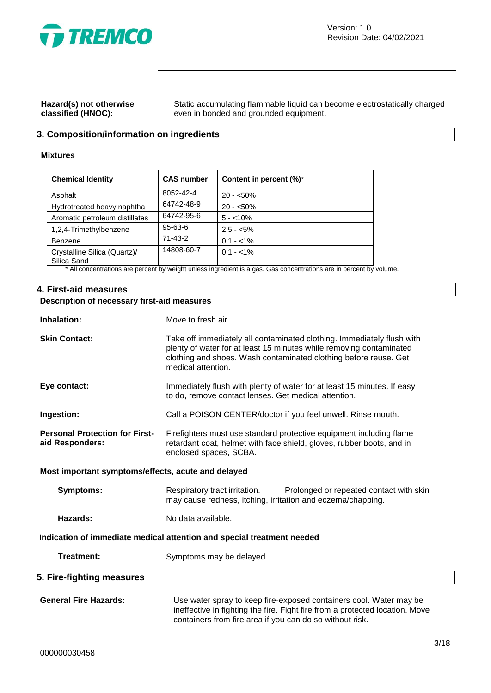

### **Hazard(s) not otherwise classified (HNOC):**

Static accumulating flammable liquid can become electrostatically charged even in bonded and grounded equipment.

### **3. Composition/information on ingredients**

### **Mixtures**

| <b>Chemical Identity</b>                    | <b>CAS number</b> | Content in percent (%)* |
|---------------------------------------------|-------------------|-------------------------|
| Asphalt                                     | 8052-42-4         | $20 - 50\%$             |
| Hydrotreated heavy naphtha                  | 64742-48-9        | $20 - 50\%$             |
| Aromatic petroleum distillates              | 64742-95-6        | $5 - 10\%$              |
| 1,2,4-Trimethylbenzene                      | 95-63-6           | $2.5 - 5\%$             |
| Benzene                                     | $71 - 43 - 2$     | $0.1 - 1\%$             |
| Crystalline Silica (Quartz)/<br>Silica Sand | 14808-60-7        | $0.1 - 1\%$             |

\* All concentrations are percent by weight unless ingredient is a gas. Gas concentrations are in percent by volume.

### **4. First-aid measures**

### **Description of necessary first-aid measures**

| Inhalation:                                                            | Move to fresh air.                                                                                                                                                                                                                      |  |
|------------------------------------------------------------------------|-----------------------------------------------------------------------------------------------------------------------------------------------------------------------------------------------------------------------------------------|--|
| <b>Skin Contact:</b>                                                   | Take off immediately all contaminated clothing. Immediately flush with<br>plenty of water for at least 15 minutes while removing contaminated<br>clothing and shoes. Wash contaminated clothing before reuse. Get<br>medical attention. |  |
| Eye contact:                                                           | Immediately flush with plenty of water for at least 15 minutes. If easy<br>to do, remove contact lenses. Get medical attention.                                                                                                         |  |
| Ingestion:                                                             | Call a POISON CENTER/doctor if you feel unwell. Rinse mouth.                                                                                                                                                                            |  |
| <b>Personal Protection for First-</b><br>aid Responders:               | Firefighters must use standard protective equipment including flame<br>retardant coat, helmet with face shield, gloves, rubber boots, and in<br>enclosed spaces, SCBA.                                                                  |  |
| Most important symptoms/effects, acute and delayed                     |                                                                                                                                                                                                                                         |  |
| <b>Symptoms:</b>                                                       | Respiratory tract irritation.<br>Prolonged or repeated contact with skin<br>may cause redness, itching, irritation and eczema/chapping.                                                                                                 |  |
| Hazards:                                                               | No data available.                                                                                                                                                                                                                      |  |
| Indication of immediate medical attention and special treatment needed |                                                                                                                                                                                                                                         |  |
| <b>Treatment:</b>                                                      | Symptoms may be delayed.                                                                                                                                                                                                                |  |
| 5. Fire-fighting measures                                              |                                                                                                                                                                                                                                         |  |
| <b>General Fire Hazards:</b>                                           | Use water spray to keep fire-exposed containers cool. Water may be<br>ineffective in fighting the fire. Fight fire from a protected location. Move<br>containers from fire area if you can do so without risk.                          |  |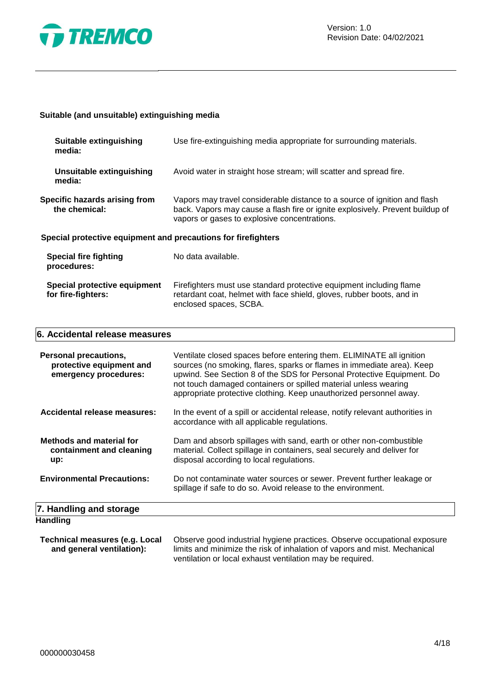

### **Suitable (and unsuitable) extinguishing media**

| Suitable extinguishing<br>media:                              | Use fire-extinguishing media appropriate for surrounding materials.                                                                                                                                        |
|---------------------------------------------------------------|------------------------------------------------------------------------------------------------------------------------------------------------------------------------------------------------------------|
| Unsuitable extinguishing<br>media:                            | Avoid water in straight hose stream; will scatter and spread fire.                                                                                                                                         |
| Specific hazards arising from<br>the chemical:                | Vapors may travel considerable distance to a source of ignition and flash<br>back. Vapors may cause a flash fire or ignite explosively. Prevent buildup of<br>vapors or gases to explosive concentrations. |
| Special protective equipment and precautions for firefighters |                                                                                                                                                                                                            |
| Special fire fighting<br>procedures:                          | No data available.                                                                                                                                                                                         |
| Special protective equipment<br>for fire-fighters:            | Firefighters must use standard protective equipment including flame<br>retardant coat, helmet with face shield, gloves, rubber boots, and in<br>enclosed spaces, SCBA.                                     |

### **6. Accidental release measures**

| Personal precautions,<br>protective equipment and<br>emergency procedures: | Ventilate closed spaces before entering them. ELIMINATE all ignition<br>sources (no smoking, flares, sparks or flames in immediate area). Keep<br>upwind. See Section 8 of the SDS for Personal Protective Equipment. Do<br>not touch damaged containers or spilled material unless wearing<br>appropriate protective clothing. Keep unauthorized personnel away. |
|----------------------------------------------------------------------------|-------------------------------------------------------------------------------------------------------------------------------------------------------------------------------------------------------------------------------------------------------------------------------------------------------------------------------------------------------------------|
| Accidental release measures:                                               | In the event of a spill or accidental release, notify relevant authorities in<br>accordance with all applicable regulations.                                                                                                                                                                                                                                      |
| <b>Methods and material for</b><br>containment and cleaning<br>up:         | Dam and absorb spillages with sand, earth or other non-combustible<br>material. Collect spillage in containers, seal securely and deliver for<br>disposal according to local regulations.                                                                                                                                                                         |
| <b>Environmental Precautions:</b>                                          | Do not contaminate water sources or sewer. Prevent further leakage or<br>spillage if safe to do so. Avoid release to the environment.                                                                                                                                                                                                                             |
| 7. Handling and storage                                                    |                                                                                                                                                                                                                                                                                                                                                                   |
| <b>Handling</b>                                                            |                                                                                                                                                                                                                                                                                                                                                                   |

| Technical measures (e.g. Local | Observe good industrial hygiene practices. Observe occupational exposure  |
|--------------------------------|---------------------------------------------------------------------------|
| and general ventilation):      | limits and minimize the risk of inhalation of vapors and mist. Mechanical |
|                                | ventilation or local exhaust ventilation may be required.                 |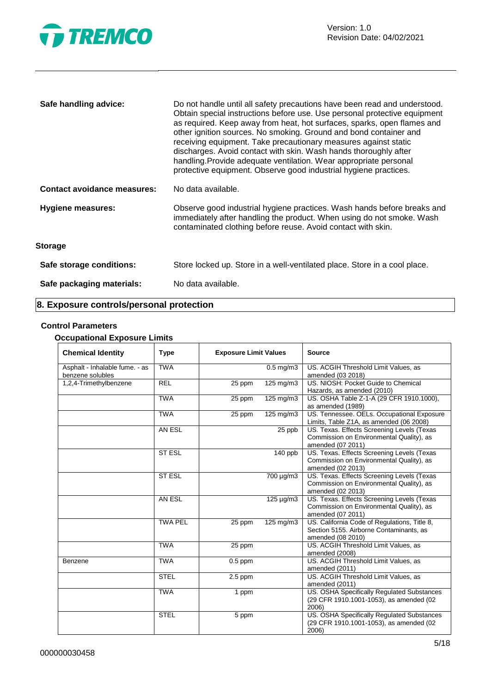

| Safe handling advice:              | Do not handle until all safety precautions have been read and understood.<br>Obtain special instructions before use. Use personal protective equipment<br>as required. Keep away from heat, hot surfaces, sparks, open flames and<br>other ignition sources. No smoking. Ground and bond container and<br>receiving equipment. Take precautionary measures against static<br>discharges. Avoid contact with skin. Wash hands thoroughly after<br>handling. Provide adequate ventilation. Wear appropriate personal<br>protective equipment. Observe good industrial hygiene practices. |
|------------------------------------|----------------------------------------------------------------------------------------------------------------------------------------------------------------------------------------------------------------------------------------------------------------------------------------------------------------------------------------------------------------------------------------------------------------------------------------------------------------------------------------------------------------------------------------------------------------------------------------|
| <b>Contact avoidance measures:</b> | No data available.                                                                                                                                                                                                                                                                                                                                                                                                                                                                                                                                                                     |
| <b>Hygiene measures:</b>           | Observe good industrial hygiene practices. Wash hands before breaks and<br>immediately after handling the product. When using do not smoke. Wash<br>contaminated clothing before reuse. Avoid contact with skin.                                                                                                                                                                                                                                                                                                                                                                       |
| <b>Storage</b>                     |                                                                                                                                                                                                                                                                                                                                                                                                                                                                                                                                                                                        |
| Safe storage conditions:           | Store locked up. Store in a well-ventilated place. Store in a cool place.                                                                                                                                                                                                                                                                                                                                                                                                                                                                                                              |
| Safe packaging materials:          | No data available.                                                                                                                                                                                                                                                                                                                                                                                                                                                                                                                                                                     |

### **8. Exposure controls/personal protection**

### **Control Parameters**

### **Occupational Exposure Limits**

| <b>Chemical Identity</b>                           | <b>Type</b>    | <b>Exposure Limit Values</b> |                       | <b>Source</b>                                                                                                |
|----------------------------------------------------|----------------|------------------------------|-----------------------|--------------------------------------------------------------------------------------------------------------|
| Asphalt - Inhalable fume. - as<br>benzene solubles | <b>TWA</b>     |                              | $0.5$ mg/m3           | US. ACGIH Threshold Limit Values, as<br>amended (03 2018)                                                    |
| 1,2,4-Trimethylbenzene                             | <b>REL</b>     | 25 ppm                       | $125 \text{ mg/m}$ 3  | US. NIOSH: Pocket Guide to Chemical<br>Hazards, as amended (2010)                                            |
|                                                    | <b>TWA</b>     | 25 ppm                       | $125 \text{ mg/m}$ 3  | US. OSHA Table Z-1-A (29 CFR 1910.1000),<br>as amended (1989)                                                |
|                                                    | <b>TWA</b>     | 25 ppm                       | 125 mg/m3             | US. Tennessee. OELs. Occupational Exposure<br>Limits, Table Z1A, as amended (06 2008)                        |
|                                                    | AN ESL         |                              | 25 ppb                | US. Texas. Effects Screening Levels (Texas<br>Commission on Environmental Quality), as<br>amended (07 2011)  |
|                                                    | <b>ST ESL</b>  |                              | 140 ppb               | US. Texas. Effects Screening Levels (Texas<br>Commission on Environmental Quality), as<br>amended (02 2013)  |
|                                                    | <b>ST ESL</b>  |                              | $\frac{1}{700}$ µg/m3 | US. Texas. Effects Screening Levels (Texas<br>Commission on Environmental Quality), as<br>amended (02 2013)  |
|                                                    | AN ESL         |                              | 125 µg/m3             | US. Texas. Effects Screening Levels (Texas<br>Commission on Environmental Quality), as<br>amended (07 2011)  |
|                                                    | <b>TWA PEL</b> | 25 ppm                       | $125 \text{ mg/m}$ 3  | US. California Code of Regulations, Title 8,<br>Section 5155. Airborne Contaminants, as<br>amended (08 2010) |
|                                                    | <b>TWA</b>     | 25 ppm                       |                       | US. ACGIH Threshold Limit Values, as<br>amended (2008)                                                       |
| Benzene                                            | <b>TWA</b>     | $\overline{0.5}$ ppm         |                       | US. ACGIH Threshold Limit Values, as<br>amended (2011)                                                       |
|                                                    | <b>STEL</b>    | $2.5$ ppm                    |                       | US. ACGIH Threshold Limit Values, as<br>amended (2011)                                                       |
|                                                    | <b>TWA</b>     | 1 ppm                        |                       | US. OSHA Specifically Regulated Substances<br>(29 CFR 1910.1001-1053), as amended (02<br>2006)               |
|                                                    | <b>STEL</b>    | 5 ppm                        |                       | US. OSHA Specifically Regulated Substances<br>(29 CFR 1910.1001-1053), as amended (02<br>2006)               |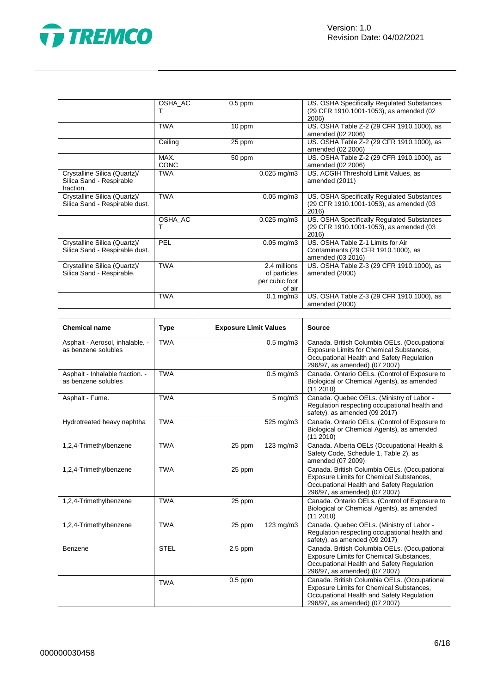



|                                                                       | OSHA AC             | $0.5$ ppm                                                | US. OSHA Specifically Regulated Substances<br>(29 CFR 1910.1001-1053), as amended (02<br>2006) |
|-----------------------------------------------------------------------|---------------------|----------------------------------------------------------|------------------------------------------------------------------------------------------------|
|                                                                       | <b>TWA</b>          | 10 ppm                                                   | US. OSHA Table Z-2 (29 CFR 1910.1000), as<br>amended (02 2006)                                 |
|                                                                       | Ceiling             | 25 ppm                                                   | US. OSHA Table Z-2 (29 CFR 1910.1000), as<br>amended (02 2006)                                 |
|                                                                       | MAX.<br><b>CONC</b> | 50 ppm                                                   | US. OSHA Table Z-2 (29 CFR 1910.1000), as<br>amended (02 2006)                                 |
| Crystalline Silica (Quartz)/<br>Silica Sand - Respirable<br>fraction. | <b>TWA</b>          | $0.025$ mg/m3                                            | US. ACGIH Threshold Limit Values, as<br>amended (2011)                                         |
| Crystalline Silica (Quartz)/<br>Silica Sand - Respirable dust.        | <b>TWA</b>          | $0.05$ mg/m $3$                                          | US. OSHA Specifically Regulated Substances<br>(29 CFR 1910.1001-1053), as amended (03<br>2016) |
|                                                                       | OSHA AC<br>т        | $0.025$ mg/m $3$                                         | US. OSHA Specifically Regulated Substances<br>(29 CFR 1910.1001-1053), as amended (03<br>2016) |
| Crystalline Silica (Quartz)/<br>Silica Sand - Respirable dust.        | PEL                 | $0.05$ mg/m $3$                                          | US. OSHA Table Z-1 Limits for Air<br>Contaminants (29 CFR 1910.1000), as<br>amended (03 2016)  |
| Crystalline Silica (Quartz)/<br>Silica Sand - Respirable.             | <b>TWA</b>          | 2.4 millions<br>of particles<br>per cubic foot<br>of air | US. OSHA Table Z-3 (29 CFR 1910.1000), as<br>amended (2000)                                    |
|                                                                       | <b>TWA</b>          | $0.1$ mg/m $3$                                           | US. OSHA Table Z-3 (29 CFR 1910.1000), as<br>amended (2000)                                    |

| <b>Chemical name</b>                                   | <b>Type</b> | <b>Exposure Limit Values</b> |                | <b>Source</b>                                                                                                                                                                 |
|--------------------------------------------------------|-------------|------------------------------|----------------|-------------------------------------------------------------------------------------------------------------------------------------------------------------------------------|
| Asphalt - Aerosol, inhalable. -<br>as benzene solubles | <b>TWA</b>  |                              | $0.5$ mg/m $3$ | Canada. British Columbia OELs. (Occupational<br>Exposure Limits for Chemical Substances,<br>Occupational Health and Safety Regulation<br>296/97, as amended) (07 2007)        |
| Asphalt - Inhalable fraction. -<br>as benzene solubles | <b>TWA</b>  |                              | $0.5$ mg/m $3$ | Canada. Ontario OELs. (Control of Exposure to<br>Biological or Chemical Agents), as amended<br>(11 2010)                                                                      |
| Asphalt - Fume.                                        | <b>TWA</b>  |                              | 5 mg/m3        | Canada. Quebec OELs. (Ministry of Labor -<br>Regulation respecting occupational health and<br>safety), as amended (09 2017)                                                   |
| Hydrotreated heavy naphtha                             | <b>TWA</b>  |                              | 525 mg/m3      | Canada. Ontario OELs. (Control of Exposure to<br>Biological or Chemical Agents), as amended<br>(112010)                                                                       |
| 1,2,4-Trimethylbenzene                                 | <b>TWA</b>  | 25 ppm                       | $123$ mg/m $3$ | Canada. Alberta OELs (Occupational Health &<br>Safety Code, Schedule 1, Table 2), as<br>amended (07 2009)                                                                     |
| 1,2,4-Trimethylbenzene                                 | <b>TWA</b>  | 25 ppm                       |                | Canada. British Columbia OELs. (Occupational<br><b>Exposure Limits for Chemical Substances,</b><br>Occupational Health and Safety Regulation<br>296/97, as amended) (07 2007) |
| 1,2,4-Trimethylbenzene                                 | <b>TWA</b>  | 25 ppm                       |                | Canada. Ontario OELs. (Control of Exposure to<br>Biological or Chemical Agents), as amended<br>(11 2010)                                                                      |
| 1,2,4-Trimethylbenzene                                 | <b>TWA</b>  | 25 ppm                       | 123 mg/m3      | Canada. Quebec OELs. (Ministry of Labor -<br>Regulation respecting occupational health and<br>safety), as amended (09 2017)                                                   |
| Benzene                                                | <b>STEL</b> | $2.5$ ppm                    |                | Canada. British Columbia OELs. (Occupational<br>Exposure Limits for Chemical Substances,<br>Occupational Health and Safety Regulation<br>296/97, as amended) (07 2007)        |
|                                                        | <b>TWA</b>  | $0.5$ ppm                    |                | Canada. British Columbia OELs. (Occupational<br>Exposure Limits for Chemical Substances,<br>Occupational Health and Safety Regulation<br>296/97, as amended) (07 2007)        |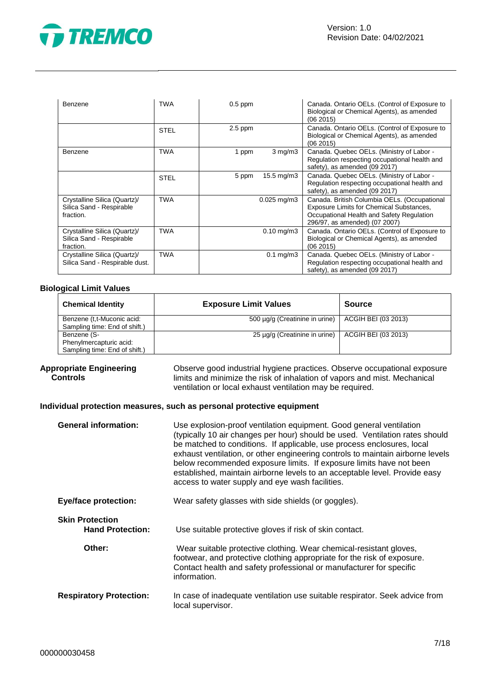

| Benzene                                                               | <b>TWA</b>  | $0.5$ ppm |                      | Canada. Ontario OELs. (Control of Exposure to<br>Biological or Chemical Agents), as amended<br>(06 2015)                                                                      |
|-----------------------------------------------------------------------|-------------|-----------|----------------------|-------------------------------------------------------------------------------------------------------------------------------------------------------------------------------|
|                                                                       | <b>STEL</b> | $2.5$ ppm |                      | Canada. Ontario OELs. (Control of Exposure to<br>Biological or Chemical Agents), as amended<br>(06 2015)                                                                      |
| <b>Benzene</b>                                                        | <b>TWA</b>  | 1 ppm     | $3$ mg/m $3$         | Canada. Quebec OELs. (Ministry of Labor -<br>Regulation respecting occupational health and<br>safety), as amended (09 2017)                                                   |
|                                                                       | <b>STEL</b> | 5 ppm     | 15.5 mg/m3           | Canada. Quebec OELs. (Ministry of Labor -<br>Regulation respecting occupational health and<br>safety), as amended (09 2017)                                                   |
| Crystalline Silica (Quartz)/<br>Silica Sand - Respirable<br>fraction. | <b>TWA</b>  |           | $0.025$ mg/m $3$     | Canada. British Columbia OELs. (Occupational<br><b>Exposure Limits for Chemical Substances,</b><br>Occupational Health and Safety Regulation<br>296/97, as amended) (07 2007) |
| Crystalline Silica (Quartz)/<br>Silica Sand - Respirable<br>fraction. | <b>TWA</b>  |           | $0.10$ mg/m $3$      | Canada. Ontario OELs. (Control of Exposure to<br>Biological or Chemical Agents), as amended<br>(06 2015)                                                                      |
| Crystalline Silica (Quartz)/<br>Silica Sand - Respirable dust.        | <b>TWA</b>  |           | $0.1 \text{ mg/m}$ 3 | Canada. Quebec OELs. (Ministry of Labor -<br>Regulation respecting occupational health and<br>safety), as amended (09 2017)                                                   |

### **Biological Limit Values**

| <b>Chemical Identity</b>                                                | <b>Exposure Limit Values</b>   | <b>Source</b>       |
|-------------------------------------------------------------------------|--------------------------------|---------------------|
| Benzene (t,t-Muconic acid:<br>Sampling time: End of shift.)             | 500 µg/g (Creatinine in urine) | ACGIH BEI (03 2013) |
| Benzene (S-<br>Phenylmercapturic acid:<br>Sampling time: End of shift.) | 25 µg/g (Creatinine in urine)  | ACGIH BEI (03 2013) |

#### **Appropriate Engineering Controls**

Observe good industrial hygiene practices. Observe occupational exposure limits and minimize the risk of inhalation of vapors and mist. Mechanical ventilation or local exhaust ventilation may be required.

### **Individual protection measures, such as personal protective equipment**

| <b>General information:</b>                       | Use explosion-proof ventilation equipment. Good general ventilation<br>(typically 10 air changes per hour) should be used. Ventilation rates should<br>be matched to conditions. If applicable, use process enclosures, local<br>exhaust ventilation, or other engineering controls to maintain airborne levels<br>below recommended exposure limits. If exposure limits have not been<br>established, maintain airborne levels to an acceptable level. Provide easy<br>access to water supply and eye wash facilities. |
|---------------------------------------------------|-------------------------------------------------------------------------------------------------------------------------------------------------------------------------------------------------------------------------------------------------------------------------------------------------------------------------------------------------------------------------------------------------------------------------------------------------------------------------------------------------------------------------|
| <b>Eye/face protection:</b>                       | Wear safety glasses with side shields (or goggles).                                                                                                                                                                                                                                                                                                                                                                                                                                                                     |
| <b>Skin Protection</b><br><b>Hand Protection:</b> | Use suitable protective gloves if risk of skin contact.                                                                                                                                                                                                                                                                                                                                                                                                                                                                 |
| Other:                                            | Wear suitable protective clothing. Wear chemical-resistant gloves,<br>footwear, and protective clothing appropriate for the risk of exposure.<br>Contact health and safety professional or manufacturer for specific<br>information.                                                                                                                                                                                                                                                                                    |
| <b>Respiratory Protection:</b>                    | In case of inadequate ventilation use suitable respirator. Seek advice from<br>local supervisor.                                                                                                                                                                                                                                                                                                                                                                                                                        |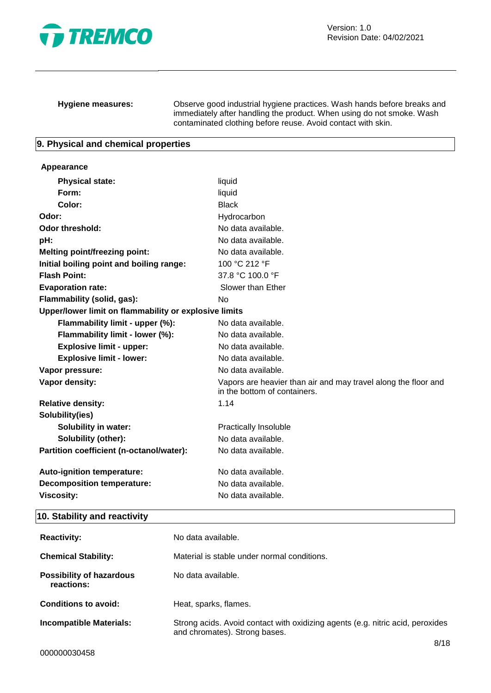

**Hygiene measures:** Observe good industrial hygiene practices. Wash hands before breaks and immediately after handling the product. When using do not smoke. Wash contaminated clothing before reuse. Avoid contact with skin.

### **9. Physical and chemical properties**

#### **Appearance**

| <b>Physical state:</b>                                | liquid                                                                                         |
|-------------------------------------------------------|------------------------------------------------------------------------------------------------|
| Form:                                                 | liquid                                                                                         |
| Color:                                                | <b>Black</b>                                                                                   |
| Odor:                                                 | Hydrocarbon                                                                                    |
| Odor threshold:                                       | No data available.                                                                             |
| pH:                                                   | No data available.                                                                             |
| <b>Melting point/freezing point:</b>                  | No data available.                                                                             |
| Initial boiling point and boiling range:              | 100 °C 212 °F                                                                                  |
| <b>Flash Point:</b>                                   | 37.8 °C 100.0 °F                                                                               |
| <b>Evaporation rate:</b>                              | Slower than Ether                                                                              |
| Flammability (solid, gas):                            | No                                                                                             |
| Upper/lower limit on flammability or explosive limits |                                                                                                |
| Flammability limit - upper (%):                       | No data available.                                                                             |
| Flammability limit - lower (%):                       | No data available.                                                                             |
| <b>Explosive limit - upper:</b>                       | No data available.                                                                             |
| <b>Explosive limit - lower:</b>                       | No data available.                                                                             |
| Vapor pressure:                                       | No data available.                                                                             |
| Vapor density:                                        | Vapors are heavier than air and may travel along the floor and<br>in the bottom of containers. |
| <b>Relative density:</b>                              | 1.14                                                                                           |
| Solubility(ies)                                       |                                                                                                |
| <b>Solubility in water:</b>                           | <b>Practically Insoluble</b>                                                                   |
| Solubility (other):                                   | No data available.                                                                             |
| Partition coefficient (n-octanol/water):              | No data available.                                                                             |
| Auto-ignition temperature:                            | No data available.                                                                             |
| <b>Decomposition temperature:</b>                     | No data available.                                                                             |
| <b>Viscosity:</b>                                     | No data available.                                                                             |
|                                                       |                                                                                                |

### **10. Stability and reactivity**

| <b>Reactivity:</b>                            | No data available.                                                                                              |      |
|-----------------------------------------------|-----------------------------------------------------------------------------------------------------------------|------|
| <b>Chemical Stability:</b>                    | Material is stable under normal conditions.                                                                     |      |
| <b>Possibility of hazardous</b><br>reactions: | No data available.                                                                                              |      |
| <b>Conditions to avoid:</b>                   | Heat, sparks, flames.                                                                                           |      |
| <b>Incompatible Materials:</b>                | Strong acids. Avoid contact with oxidizing agents (e.g. nitric acid, peroxides<br>and chromates). Strong bases. |      |
|                                               |                                                                                                                 | 8/18 |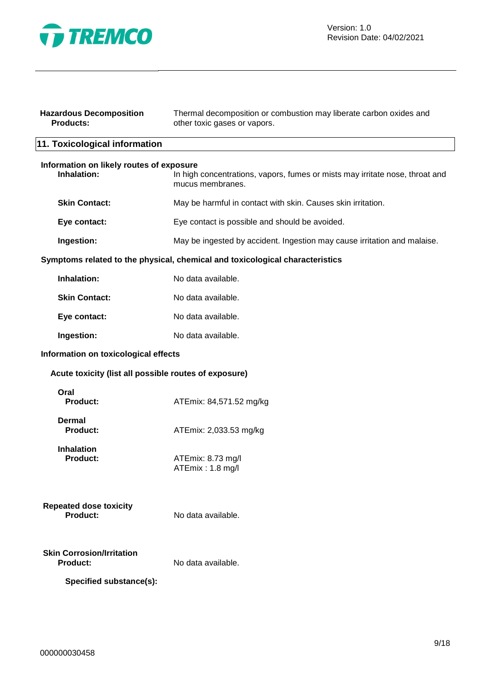

| <b>Hazardous Decomposition</b><br><b>Products:</b>      | Thermal decomposition or combustion may liberate carbon oxides and<br>other toxic gases or vapors. |
|---------------------------------------------------------|----------------------------------------------------------------------------------------------------|
| 11. Toxicological information                           |                                                                                                    |
| Information on likely routes of exposure<br>Inhalation: | In high concentrations, vapors, fumes or mists may irritate nose, throat and<br>mucus membranes.   |
| <b>Skin Contact:</b>                                    | May be harmful in contact with skin. Causes skin irritation.                                       |
| Eye contact:                                            | Eye contact is possible and should be avoided.                                                     |
| Ingestion:                                              | May be ingested by accident. Ingestion may cause irritation and malaise.                           |
|                                                         | Symptoms related to the physical, chemical and toxicological characteristics                       |
| Inhalation:                                             | No data available.                                                                                 |
| <b>Skin Contact:</b>                                    | No data available.                                                                                 |
| Eye contact:                                            | No data available.                                                                                 |
| Ingestion:                                              | No data available.                                                                                 |
| Information on toxicological effects                    |                                                                                                    |
| Acute toxicity (list all possible routes of exposure)   |                                                                                                    |
| Oral<br><b>Product:</b>                                 | ATEmix: 84,571.52 mg/kg                                                                            |
| <b>Dermal</b><br><b>Product:</b>                        | ATEmix: 2,033.53 mg/kg                                                                             |
| <b>Inhalation</b><br><b>Product:</b>                    | ATEmix: 8.73 mg/l<br>ATEmix: 1.8 mg/l                                                              |
| <b>Repeated dose toxicity</b><br>Product:               | No data available.                                                                                 |
| <b>Skin Corrosion/Irritation</b><br>Product:            | No data available.                                                                                 |
| Specified substance(s):                                 |                                                                                                    |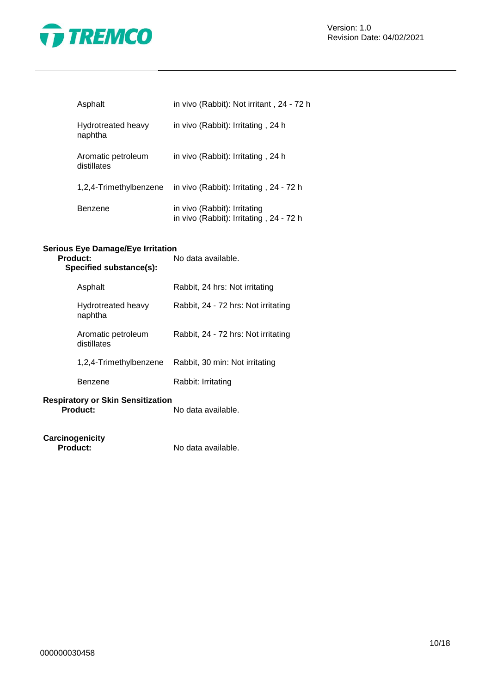

Version: 1.0 Revision Date: 04/02/2021

| Asphalt                           | in vivo (Rabbit): Not irritant, 24 - 72 h                               |
|-----------------------------------|-------------------------------------------------------------------------|
| Hydrotreated heavy<br>naphtha     | in vivo (Rabbit): Irritating, 24 h                                      |
| Aromatic petroleum<br>distillates | in vivo (Rabbit): Irritating, 24 h                                      |
| 1,2,4-Trimethylbenzene            | in vivo (Rabbit): Irritating, 24 - 72 h                                 |
| Benzene                           | in vivo (Rabbit): Irritating<br>in vivo (Rabbit): Irritating, 24 - 72 h |

### **Serious Eye Damage/Eye Irritation**

| Product:<br>Specified substance(s):                         | No data available.                  |
|-------------------------------------------------------------|-------------------------------------|
| Asphalt                                                     | Rabbit, 24 hrs: Not irritating      |
| Hydrotreated heavy<br>naphtha                               | Rabbit, 24 - 72 hrs: Not irritating |
| Aromatic petroleum<br>distillates                           | Rabbit, 24 - 72 hrs: Not irritating |
| 1,2,4-Trimethylbenzene                                      | Rabbit, 30 min: Not irritating      |
| Benzene                                                     | Rabbit: Irritating                  |
| <b>Respiratory or Skin Sensitization</b><br><b>Product:</b> | No data available.                  |

**Carcinogenicity**

**Product:** No data available.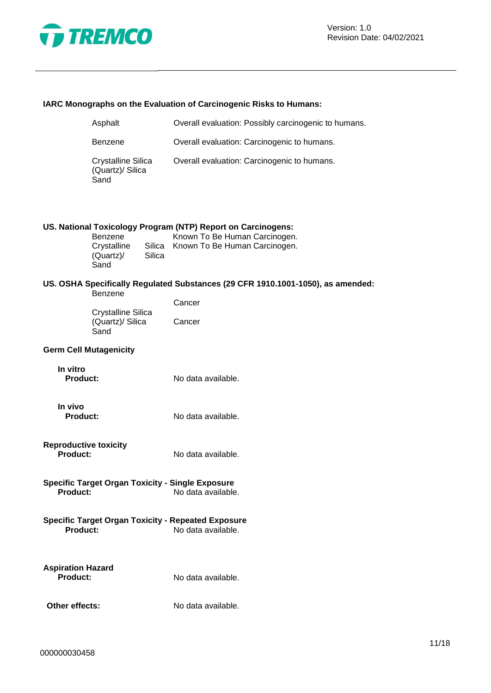

### **IARC Monographs on the Evaluation of Carcinogenic Risks to Humans:**

| Asphalt                                        | Overall evaluation: Possibly carcinogenic to humans. |
|------------------------------------------------|------------------------------------------------------|
| <b>Benzene</b>                                 | Overall evaluation: Carcinogenic to humans.          |
| Crystalline Silica<br>(Quartz)/ Silica<br>Sand | Overall evaluation: Carcinogenic to humans.          |

### **US. National Toxicology Program (NTP) Report on Carcinogens:**

| Benzene     |        | Known To Be Human Carcinogen.        |
|-------------|--------|--------------------------------------|
| Crystalline |        | Silica Known To Be Human Carcinogen. |
| (Quartz)    | Silica |                                      |
| Sand        |        |                                      |

### **US. OSHA Specifically Regulated Substances (29 CFR 1910.1001-1050), as amended:**

|                    | Cancer |
|--------------------|--------|
| Crystalline Silica |        |
| (Quartz)/ Silica   | Cancer |
| Sand               |        |

### **Germ Cell Mutagenicity**

| In vitro        |                    |
|-----------------|--------------------|
| <b>Product:</b> | No data available. |

- **In vivo Product:** No data available.
- **Reproductive toxicity Product:** No data available.
- **Specific Target Organ Toxicity - Single Exposure Product:** No data available.
- **Specific Target Organ Toxicity - Repeated Exposure Product:** No data available.
- **Aspiration Hazard**

**Product:** No data available.

**Other effects:** No data available.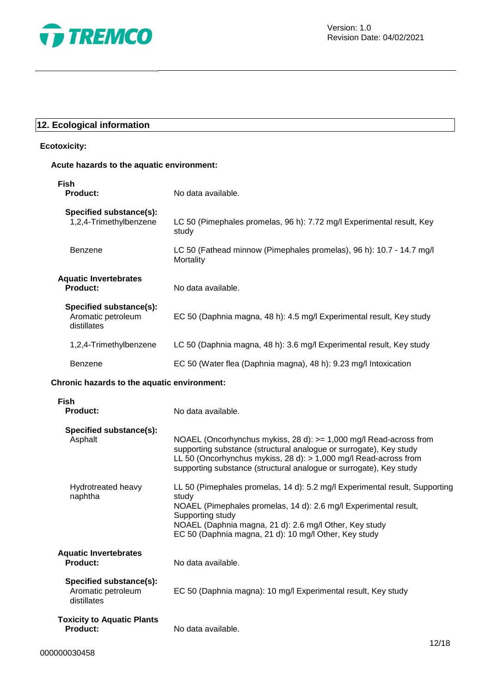

### **12. Ecological information**

### **Ecotoxicity:**

### **Acute hazards to the aquatic environment:**

| <b>Fish</b><br>Product:                                      | No data available.                                                                |
|--------------------------------------------------------------|-----------------------------------------------------------------------------------|
| Specified substance(s):<br>1,2,4-Trimethylbenzene            | LC 50 (Pimephales promelas, 96 h): 7.72 mg/l Experimental result, Key<br>study    |
| Benzene                                                      | LC 50 (Fathead minnow (Pimephales promelas), 96 h): 10.7 - 14.7 mg/l<br>Mortality |
| <b>Aquatic Invertebrates</b><br><b>Product:</b>              | No data available.                                                                |
| Specified substance(s):<br>Aromatic petroleum<br>distillates | EC 50 (Daphnia magna, 48 h): 4.5 mg/l Experimental result, Key study              |
| 1,2,4-Trimethylbenzene                                       | LC 50 (Daphnia magna, 48 h): 3.6 mg/l Experimental result, Key study              |
| Benzene                                                      | EC 50 (Water flea (Daphnia magna), 48 h): 9.23 mg/l Intoxication                  |
| Chronic hazards to the aquatic environment:                  |                                                                                   |
| Fish                                                         |                                                                                   |

| <b>Product:</b>                                              | No data available.                                                                                                                                                                                                                                                                              |
|--------------------------------------------------------------|-------------------------------------------------------------------------------------------------------------------------------------------------------------------------------------------------------------------------------------------------------------------------------------------------|
| Specified substance(s):<br>Asphalt                           | NOAEL (Oncorhynchus mykiss, 28 d): >= 1,000 mg/l Read-across from<br>supporting substance (structural analogue or surrogate), Key study<br>LL 50 (Oncorhynchus mykiss, 28 d): $> 1,000$ mg/l Read-across from<br>supporting substance (structural analogue or surrogate), Key study             |
| Hydrotreated heavy<br>naphtha                                | LL 50 (Pimephales promelas, 14 d): 5.2 mg/l Experimental result, Supporting<br>study<br>NOAEL (Pimephales promelas, 14 d): 2.6 mg/l Experimental result,<br>Supporting study<br>NOAEL (Daphnia magna, 21 d): 2.6 mg/l Other, Key study<br>EC 50 (Daphnia magna, 21 d): 10 mg/l Other, Key study |
| <b>Aquatic Invertebrates</b><br><b>Product:</b>              | No data available.                                                                                                                                                                                                                                                                              |
| Specified substance(s):<br>Aromatic petroleum<br>distillates | EC 50 (Daphnia magna): 10 mg/l Experimental result, Key study                                                                                                                                                                                                                                   |
| <b>Toxicity to Aquatic Plants</b><br><b>Product:</b>         | No data available.                                                                                                                                                                                                                                                                              |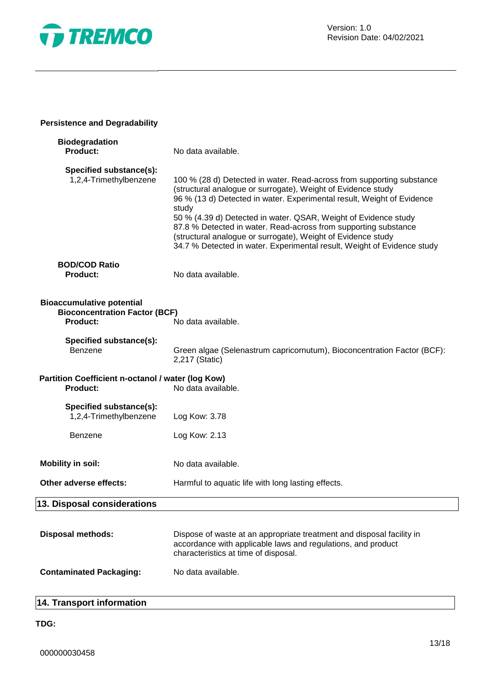

### **Persistence and Degradability**

| <b>Biodegradation</b><br><b>Product:</b>                                                    | No data available.                                                                                                                                                                                                                                                                                                                                                                                                                                                                                        |
|---------------------------------------------------------------------------------------------|-----------------------------------------------------------------------------------------------------------------------------------------------------------------------------------------------------------------------------------------------------------------------------------------------------------------------------------------------------------------------------------------------------------------------------------------------------------------------------------------------------------|
| Specified substance(s):<br>1,2,4-Trimethylbenzene                                           | 100 % (28 d) Detected in water. Read-across from supporting substance<br>(structural analogue or surrogate), Weight of Evidence study<br>96 % (13 d) Detected in water. Experimental result, Weight of Evidence<br>study<br>50 % (4.39 d) Detected in water. QSAR, Weight of Evidence study<br>87.8 % Detected in water. Read-across from supporting substance<br>(structural analogue or surrogate), Weight of Evidence study<br>34.7 % Detected in water. Experimental result, Weight of Evidence study |
| <b>BOD/COD Ratio</b><br><b>Product:</b>                                                     | No data available.                                                                                                                                                                                                                                                                                                                                                                                                                                                                                        |
| <b>Bioaccumulative potential</b><br><b>Bioconcentration Factor (BCF)</b><br><b>Product:</b> | No data available.                                                                                                                                                                                                                                                                                                                                                                                                                                                                                        |
| Specified substance(s):<br>Benzene                                                          | Green algae (Selenastrum capricornutum), Bioconcentration Factor (BCF):<br>2,217 (Static)                                                                                                                                                                                                                                                                                                                                                                                                                 |
| Partition Coefficient n-octanol / water (log Kow)<br><b>Product:</b>                        | No data available.                                                                                                                                                                                                                                                                                                                                                                                                                                                                                        |
| Specified substance(s):<br>1,2,4-Trimethylbenzene                                           | Log Kow: 3.78                                                                                                                                                                                                                                                                                                                                                                                                                                                                                             |
| Benzene                                                                                     | Log Kow: 2.13                                                                                                                                                                                                                                                                                                                                                                                                                                                                                             |
| <b>Mobility in soil:</b>                                                                    | No data available.                                                                                                                                                                                                                                                                                                                                                                                                                                                                                        |
| Other adverse effects:                                                                      | Harmful to aquatic life with long lasting effects.                                                                                                                                                                                                                                                                                                                                                                                                                                                        |
| 13. Disposal considerations                                                                 |                                                                                                                                                                                                                                                                                                                                                                                                                                                                                                           |
| <b>Disposal methods:</b>                                                                    | Dispose of waste at an appropriate treatment and disposal facility in<br>accordance with applicable laws and regulations, and product<br>characteristics at time of disposal.                                                                                                                                                                                                                                                                                                                             |
| <b>Contaminated Packaging:</b>                                                              | No data available.                                                                                                                                                                                                                                                                                                                                                                                                                                                                                        |

### **14. Transport information**

### **TDG:**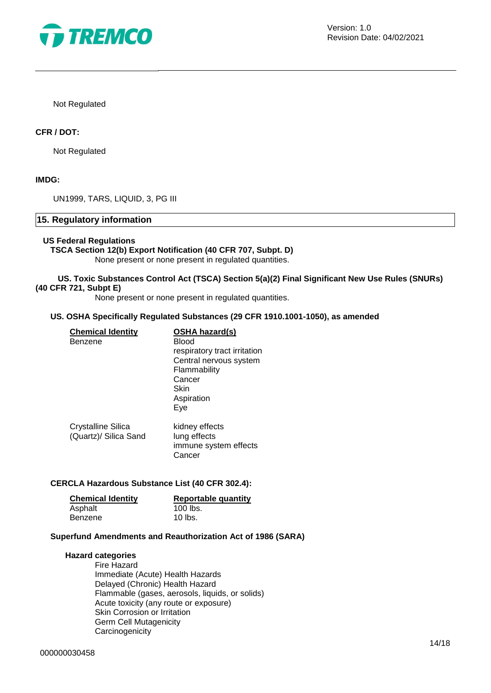

Not Regulated

### **CFR / DOT:**

Not Regulated

### **IMDG:**

UN1999, TARS, LIQUID, 3, PG III

### **15. Regulatory information**

#### **US Federal Regulations**

### **TSCA Section 12(b) Export Notification (40 CFR 707, Subpt. D)**

None present or none present in regulated quantities.

### **US. Toxic Substances Control Act (TSCA) Section 5(a)(2) Final Significant New Use Rules (SNURs) (40 CFR 721, Subpt E)**

None present or none present in regulated quantities.

#### **US. OSHA Specifically Regulated Substances (29 CFR 1910.1001-1050), as amended**

| <b>Chemical Identity</b><br>Benzene         | <b>OSHA hazard(s)</b><br>Blood<br>respiratory tract irritation<br>Central nervous system<br>Flammability<br>Cancer<br>Skin<br>Aspiration<br>Eye |
|---------------------------------------------|-------------------------------------------------------------------------------------------------------------------------------------------------|
| Crystalline Silica<br>(Quartz)/ Silica Sand | kidney effects<br>lung effects<br>immune system effects<br>Cancer                                                                               |

### **CERCLA Hazardous Substance List (40 CFR 302.4):**

| <b>Chemical Identity</b> | <b>Reportable quantity</b> |
|--------------------------|----------------------------|
| Asphalt                  | 100 lbs.                   |
| Benzene                  | 10 lbs.                    |

### **Superfund Amendments and Reauthorization Act of 1986 (SARA)**

#### **Hazard categories**

Fire Hazard Immediate (Acute) Health Hazards Delayed (Chronic) Health Hazard Flammable (gases, aerosols, liquids, or solids) Acute toxicity (any route or exposure) Skin Corrosion or Irritation Germ Cell Mutagenicity **Carcinogenicity**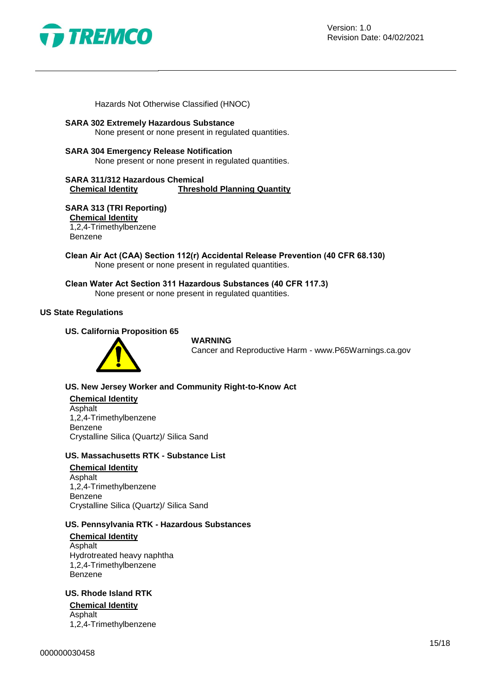

Hazards Not Otherwise Classified (HNOC)

### **SARA 302 Extremely Hazardous Substance**

None present or none present in regulated quantities.

### **SARA 304 Emergency Release Notification**

None present or none present in regulated quantities.

**SARA 311/312 Hazardous Chemical Chemical Identity Threshold Planning Quantity**

### **SARA 313 (TRI Reporting)**

**Chemical Identity** 1,2,4-Trimethylbenzene

Benzene

**Clean Air Act (CAA) Section 112(r) Accidental Release Prevention (40 CFR 68.130)** None present or none present in regulated quantities.

**Clean Water Act Section 311 Hazardous Substances (40 CFR 117.3)** None present or none present in regulated quantities.

### **US State Regulations**

### **US. California Proposition 65**

### **WARNING**

Cancer and Reproductive Harm - www.P65Warnings.ca.gov

### **US. New Jersey Worker and Community Right-to-Know Act**

**Chemical Identity** Asphalt 1,2,4-Trimethylbenzene Benzene Crystalline Silica (Quartz)/ Silica Sand

### **US. Massachusetts RTK - Substance List**

#### **Chemical Identity**

Asphalt 1,2,4-Trimethylbenzene Benzene Crystalline Silica (Quartz)/ Silica Sand

### **US. Pennsylvania RTK - Hazardous Substances**

**Chemical Identity** Asphalt Hydrotreated heavy naphtha 1,2,4-Trimethylbenzene Benzene

### **US. Rhode Island RTK**

**Chemical Identity** Asphalt 1,2,4-Trimethylbenzene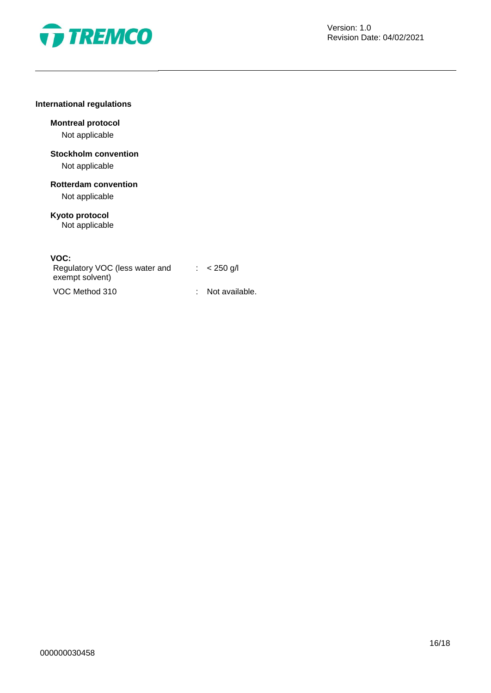

### **International regulations**

### **Montreal protocol**

Not applicable

## **Stockholm convention**

Not applicable

# **Rotterdam convention**

Not applicable

#### **Kyoto protocol** Not applicable

### **VOC:**

| Regulatory VOC (less water and<br>exempt solvent) | $\therefore$ < 250 g/l |
|---------------------------------------------------|------------------------|
| VOC Method 310                                    | : Not available.       |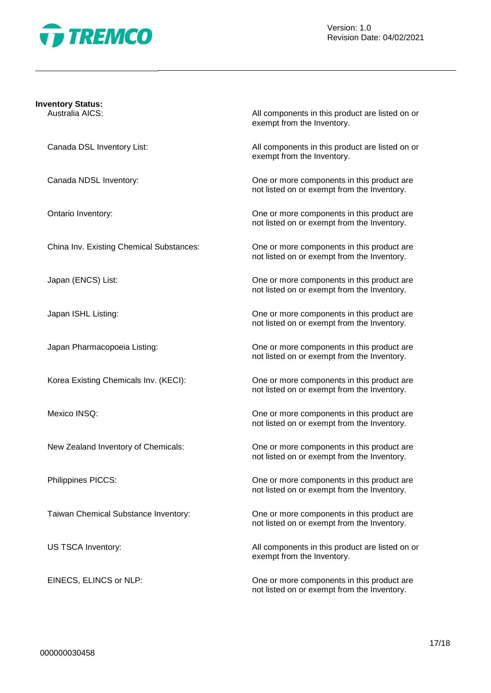

### **Inventory Status:**

Australia AICS: All components in this product are listed on or exempt from the Inventory.

Canada DSL Inventory List: All components in this product are listed on or exempt from the Inventory.

Canada NDSL Inventory: One or more components in this product are not listed on or exempt from the Inventory.

Ontario Inventory: One or more components in this product are not listed on or exempt from the Inventory.

China Inv. Existing Chemical Substances: One or more components in this product are not listed on or exempt from the Inventory.

Japan (ENCS) List: One or more components in this product are not listed on or exempt from the Inventory.

Japan ISHL Listing: One or more components in this product are not listed on or exempt from the Inventory.

Japan Pharmacopoeia Listing: One or more components in this product are not listed on or exempt from the Inventory.

Korea Existing Chemicals Inv. (KECI): One or more components in this product are not listed on or exempt from the Inventory.

Mexico INSQ: One or more components in this product are not listed on or exempt from the Inventory.

New Zealand Inventory of Chemicals: One or more components in this product are not listed on or exempt from the Inventory.

Philippines PICCS: One or more components in this product are not listed on or exempt from the Inventory.

Taiwan Chemical Substance Inventory: One or more components in this product are not listed on or exempt from the Inventory.

US TSCA Inventory: The same of the same of the All components in this product are listed on or exempt from the Inventory.

EINECS, ELINCS or NLP: CHE CONSERVIATE: One or more components in this product are not listed on or exempt from the Inventory.